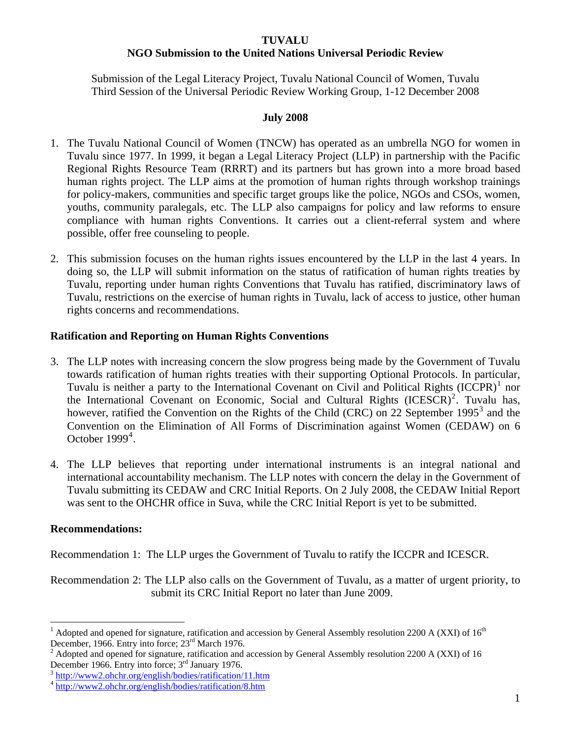#### **TUVALU**

## **NGO Submission to the United Nations Universal Periodic Review**

Submission of the Legal Literacy Project, Tuvalu National Council of Women, Tuvalu Third Session of the Universal Periodic Review Working Group, 1-12 December 2008

#### **July 2008**

- 1. The Tuvalu National Council of Women (TNCW) has operated as an umbrella NGO for women in Tuvalu since 1977. In 1999, it began a Legal Literacy Project (LLP) in partnership with the Pacific Regional Rights Resource Team (RRRT) and its partners but has grown into a more broad based human rights project. The LLP aims at the promotion of human rights through workshop trainings for policy-makers, communities and specific target groups like the police, NGOs and CSOs, women, youths, community paralegals, etc. The LLP also campaigns for policy and law reforms to ensure compliance with human rights Conventions. It carries out a client-referral system and where possible, offer free counseling to people.
- 2. This submission focuses on the human rights issues encountered by the LLP in the last 4 years. In doing so, the LLP will submit information on the status of ratification of human rights treaties by Tuvalu, reporting under human rights Conventions that Tuvalu has ratified, discriminatory laws of Tuvalu, restrictions on the exercise of human rights in Tuvalu, lack of access to justice, other human rights concerns and recommendations.

#### **Ratification and Reporting on Human Rights Conventions**

- 3. The LLP notes with increasing concern the slow progress being made by the Government of Tuvalu towards ratification of human rights treaties with their supporting Optional Protocols. In particular, Tuvalu is neither a party to the International Covenant on Civil and Political Rights (ICCPR)<sup>[1](#page-0-0)</sup> nor the International Covenant on Economic, Social and Cultural Rights  $(ICESCR)^2$  $(ICESCR)^2$ . Tuvalu has, however, ratified the Convention on the Rights of the Child (CRC) on 22 September 1995<sup>[3](#page-0-2)</sup> and the Convention on the Elimination of All Forms of Discrimination against Women (CEDAW) on 6 October  $1999<sup>4</sup>$  $1999<sup>4</sup>$  $1999<sup>4</sup>$ .
- 4. The LLP believes that reporting under international instruments is an integral national and international accountability mechanism. The LLP notes with concern the delay in the Government of Tuvalu submitting its CEDAW and CRC Initial Reports. On 2 July 2008, the CEDAW Initial Report was sent to the OHCHR office in Suva, while the CRC Initial Report is yet to be submitted.

#### **Recommendations:**

 $\overline{a}$ 

Recommendation 1: The LLP urges the Government of Tuvalu to ratify the ICCPR and ICESCR.

Recommendation 2: The LLP also calls on the Government of Tuvalu, as a matter of urgent priority, to submit its CRC Initial Report no later than June 2009.

<span id="page-0-0"></span><sup>&</sup>lt;sup>1</sup> Adopted and opened for signature, ratification and accession by General Assembly resolution 2200 A (XXI) of  $16<sup>th</sup>$ December, 1966. Entry into force; 23<sup>rd</sup> March 1976.

<span id="page-0-1"></span><sup>&</sup>lt;sup>2</sup> Adopted and opened for signature, ratification and accession by General Assembly resolution 2200 A (XXI) of 16 December 1966. Entry into force;  $3<sup>rd</sup>$  January 1976.

<span id="page-0-2"></span><http://www2.ohchr.org/english/bodies/ratification/11.htm><br><http://www2.ohchr.org/english/bodies/ratification/8.htm>

<span id="page-0-3"></span>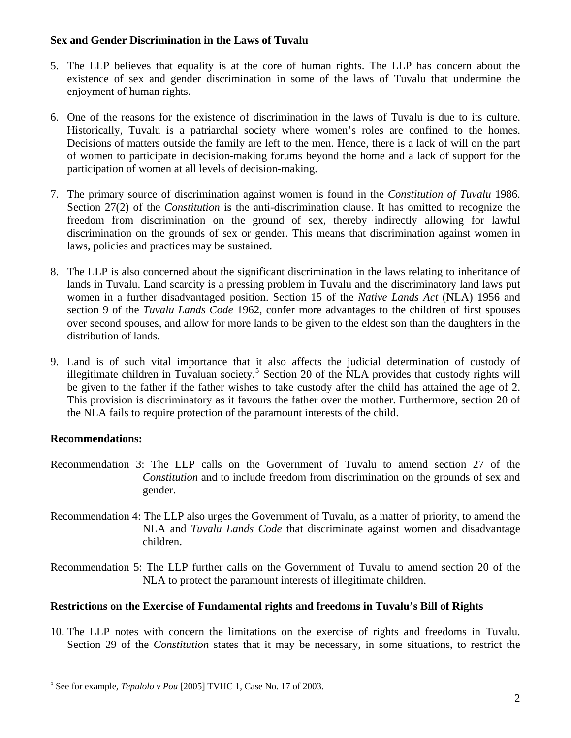## **Sex and Gender Discrimination in the Laws of Tuvalu**

- 5. The LLP believes that equality is at the core of human rights. The LLP has concern about the existence of sex and gender discrimination in some of the laws of Tuvalu that undermine the enjoyment of human rights.
- 6. One of the reasons for the existence of discrimination in the laws of Tuvalu is due to its culture. Historically, Tuvalu is a patriarchal society where women's roles are confined to the homes. Decisions of matters outside the family are left to the men. Hence, there is a lack of will on the part of women to participate in decision-making forums beyond the home and a lack of support for the participation of women at all levels of decision-making.
- 7. The primary source of discrimination against women is found in the *Constitution of Tuvalu* 1986. Section 27(2) of the *Constitution* is the anti-discrimination clause. It has omitted to recognize the freedom from discrimination on the ground of sex, thereby indirectly allowing for lawful discrimination on the grounds of sex or gender. This means that discrimination against women in laws, policies and practices may be sustained.
- 8. The LLP is also concerned about the significant discrimination in the laws relating to inheritance of lands in Tuvalu. Land scarcity is a pressing problem in Tuvalu and the discriminatory land laws put women in a further disadvantaged position. Section 15 of the *Native Lands Act* (NLA) 1956 and section 9 of the *Tuvalu Lands Code* 1962, confer more advantages to the children of first spouses over second spouses, and allow for more lands to be given to the eldest son than the daughters in the distribution of lands.
- 9. Land is of such vital importance that it also affects the judicial determination of custody of illegitimate children in Tuvaluan society.<sup>[5](#page-1-0)</sup> Section 20 of the NLA provides that custody rights will be given to the father if the father wishes to take custody after the child has attained the age of 2. This provision is discriminatory as it favours the father over the mother. Furthermore, section 20 of the NLA fails to require protection of the paramount interests of the child.

# **Recommendations:**

- Recommendation 3: The LLP calls on the Government of Tuvalu to amend section 27 of the *Constitution* and to include freedom from discrimination on the grounds of sex and gender.
- Recommendation 4: The LLP also urges the Government of Tuvalu, as a matter of priority, to amend the NLA and *Tuvalu Lands Code* that discriminate against women and disadvantage children.
- Recommendation 5: The LLP further calls on the Government of Tuvalu to amend section 20 of the NLA to protect the paramount interests of illegitimate children.

## **Restrictions on the Exercise of Fundamental rights and freedoms in Tuvalu's Bill of Rights**

10. The LLP notes with concern the limitations on the exercise of rights and freedoms in Tuvalu. Section 29 of the *Constitution* states that it may be necessary, in some situations, to restrict the

<span id="page-1-0"></span> 5 See for example*, Tepulolo v Pou* [2005] TVHC 1, Case No. 17 of 2003.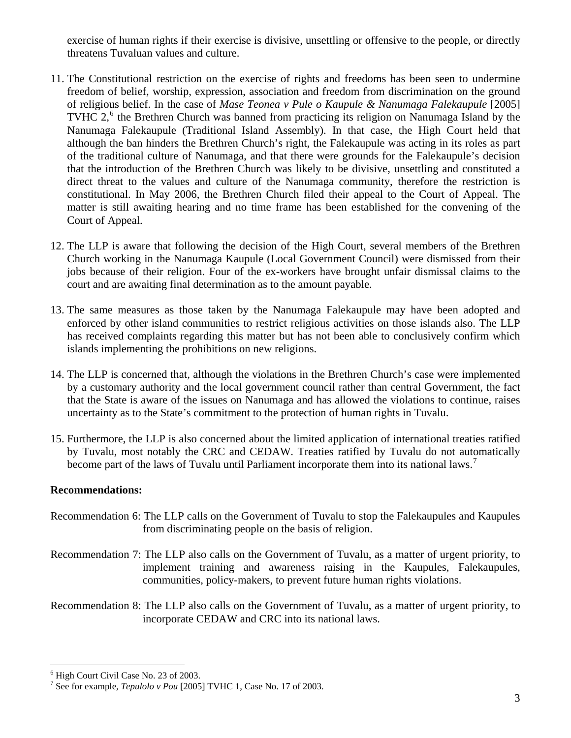exercise of human rights if their exercise is divisive, unsettling or offensive to the people, or directly threatens Tuvaluan values and culture.

- 11. The Constitutional restriction on the exercise of rights and freedoms has been seen to undermine freedom of belief, worship, expression, association and freedom from discrimination on the ground of religious belief. In the case of *Mase Teonea v Pule o Kaupule & Nanumaga Falekaupule* [2005] TVHC  $2<sup>6</sup>$  $2<sup>6</sup>$  $2<sup>6</sup>$ , the Brethren Church was banned from practicing its religion on Nanumaga Island by the Nanumaga Falekaupule (Traditional Island Assembly). In that case, the High Court held that although the ban hinders the Brethren Church's right, the Falekaupule was acting in its roles as part of the traditional culture of Nanumaga, and that there were grounds for the Falekaupule's decision that the introduction of the Brethren Church was likely to be divisive, unsettling and constituted a direct threat to the values and culture of the Nanumaga community, therefore the restriction is constitutional. In May 2006, the Brethren Church filed their appeal to the Court of Appeal. The matter is still awaiting hearing and no time frame has been established for the convening of the Court of Appeal.
- 12. The LLP is aware that following the decision of the High Court, several members of the Brethren Church working in the Nanumaga Kaupule (Local Government Council) were dismissed from their jobs because of their religion. Four of the ex-workers have brought unfair dismissal claims to the court and are awaiting final determination as to the amount payable.
- 13. The same measures as those taken by the Nanumaga Falekaupule may have been adopted and enforced by other island communities to restrict religious activities on those islands also. The LLP has received complaints regarding this matter but has not been able to conclusively confirm which islands implementing the prohibitions on new religions.
- 14. The LLP is concerned that, although the violations in the Brethren Church's case were implemented by a customary authority and the local government council rather than central Government, the fact that the State is aware of the issues on Nanumaga and has allowed the violations to continue, raises uncertainty as to the State's commitment to the protection of human rights in Tuvalu.
- 15. Furthermore, the LLP is also concerned about the limited application of international treaties ratified by Tuvalu, most notably the CRC and CEDAW. Treaties ratified by Tuvalu do not automatically become part of the laws of Tuvalu until Parliament incorporate them into its national laws.<sup>[7](#page-2-1)</sup>

#### **Recommendations:**

- Recommendation 6: The LLP calls on the Government of Tuvalu to stop the Falekaupules and Kaupules from discriminating people on the basis of religion.
- Recommendation 7: The LLP also calls on the Government of Tuvalu, as a matter of urgent priority, to implement training and awareness raising in the Kaupules, Falekaupules, communities, policy-makers, to prevent future human rights violations.
- Recommendation 8: The LLP also calls on the Government of Tuvalu, as a matter of urgent priority, to incorporate CEDAW and CRC into its national laws.

<span id="page-2-0"></span> $\overline{a}$ <sup>6</sup> High Court Civil Case No. 23 of 2003.

<span id="page-2-1"></span><sup>7</sup> See for example, *Tepulolo v Pou* [2005] TVHC 1, Case No. 17 of 2003.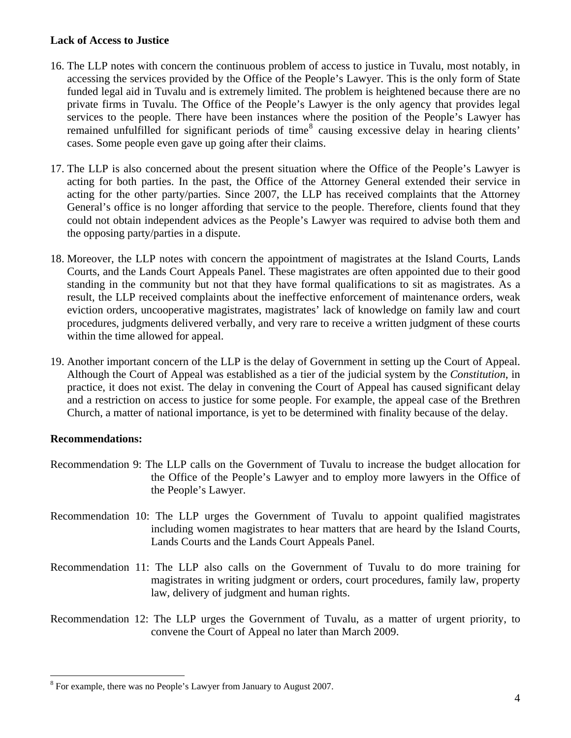## **Lack of Access to Justice**

- 16. The LLP notes with concern the continuous problem of access to justice in Tuvalu, most notably, in accessing the services provided by the Office of the People's Lawyer. This is the only form of State funded legal aid in Tuvalu and is extremely limited. The problem is heightened because there are no private firms in Tuvalu. The Office of the People's Lawyer is the only agency that provides legal services to the people. There have been instances where the position of the People's Lawyer has remained unfulfilled for significant periods of time<sup>[8](#page-3-0)</sup> causing excessive delay in hearing clients' cases. Some people even gave up going after their claims.
- 17. The LLP is also concerned about the present situation where the Office of the People's Lawyer is acting for both parties. In the past, the Office of the Attorney General extended their service in acting for the other party/parties. Since 2007, the LLP has received complaints that the Attorney General's office is no longer affording that service to the people. Therefore, clients found that they could not obtain independent advices as the People's Lawyer was required to advise both them and the opposing party/parties in a dispute.
- 18. Moreover, the LLP notes with concern the appointment of magistrates at the Island Courts, Lands Courts, and the Lands Court Appeals Panel. These magistrates are often appointed due to their good standing in the community but not that they have formal qualifications to sit as magistrates. As a result, the LLP received complaints about the ineffective enforcement of maintenance orders, weak eviction orders, uncooperative magistrates, magistrates' lack of knowledge on family law and court procedures, judgments delivered verbally, and very rare to receive a written judgment of these courts within the time allowed for appeal.
- 19. Another important concern of the LLP is the delay of Government in setting up the Court of Appeal. Although the Court of Appeal was established as a tier of the judicial system by the *Constitution*, in practice, it does not exist. The delay in convening the Court of Appeal has caused significant delay and a restriction on access to justice for some people. For example, the appeal case of the Brethren Church, a matter of national importance, is yet to be determined with finality because of the delay.

## **Recommendations:**

- Recommendation 9: The LLP calls on the Government of Tuvalu to increase the budget allocation for the Office of the People's Lawyer and to employ more lawyers in the Office of the People's Lawyer.
- Recommendation 10: The LLP urges the Government of Tuvalu to appoint qualified magistrates including women magistrates to hear matters that are heard by the Island Courts, Lands Courts and the Lands Court Appeals Panel.
- Recommendation 11: The LLP also calls on the Government of Tuvalu to do more training for magistrates in writing judgment or orders, court procedures, family law, property law, delivery of judgment and human rights.
- Recommendation 12: The LLP urges the Government of Tuvalu, as a matter of urgent priority, to convene the Court of Appeal no later than March 2009.

<span id="page-3-0"></span> $\overline{a}$ <sup>8</sup> For example, there was no People's Lawyer from January to August 2007.